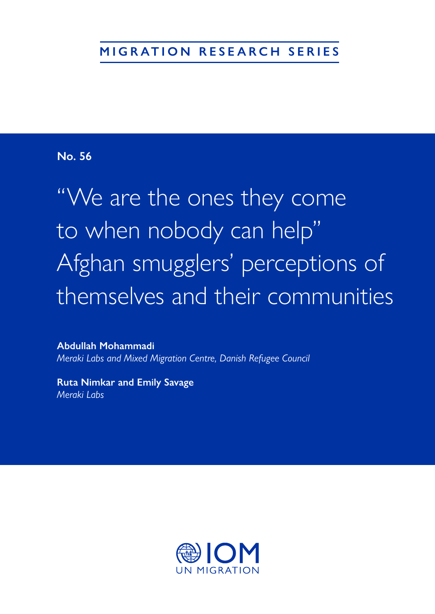# **MIGRATION RESEARCH SERIES**

# **No. 56**

"We are the ones they come to when nobody can help" Afghan smugglers' perceptions of themselves and their communities

**Abdullah Mohammadi**  *Meraki Labs and Mixed Migration Centre, Danish Refugee Council* 

**Ruta Nimkar and Emily Savage**  *Meraki Labs*

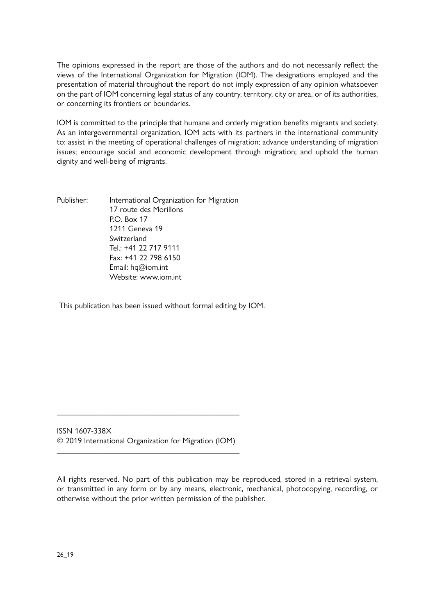The opinions expressed in the report are those of the authors and do not necessarily reflect the views of the International Organization for Migration (IOM). The designations employed and the presentation of material throughout the report do not imply expression of any opinion whatsoever on the part of IOM concerning legal status of any country, territory, city or area, or of its authorities, or concerning its frontiers or boundaries.

IOM is committed to the principle that humane and orderly migration benefits migrants and society. As an intergovernmental organization, IOM acts with its partners in the international community to: assist in the meeting of operational challenges of migration; advance understanding of migration issues; encourage social and economic development through migration; and uphold the human dignity and well-being of migrants.

Publisher: International Organization for Migration 17 route des Morillons P.O. Box 17 1211 Geneva 19 Switzerland Tel.: +41 22 717 9111 Fax: +41 22 798 6150 Email: hq@iom.int Website: www.jom.int

This publication has been issued without formal editing by IOM.

ISSN 1607-338X © 2019 International Organization for Migration (IOM)

\_\_\_\_\_\_\_\_\_\_\_\_\_\_\_\_\_\_\_\_\_\_\_\_\_\_\_\_\_\_\_\_\_\_\_\_\_\_\_\_\_\_\_\_\_

\_\_\_\_\_\_\_\_\_\_\_\_\_\_\_\_\_\_\_\_\_\_\_\_\_\_\_\_\_\_\_\_\_\_\_\_\_\_\_\_\_\_\_\_\_

All rights reserved. No part of this publication may be reproduced, stored in a retrieval system, or transmitted in any form or by any means, electronic, mechanical, photocopying, recording, or otherwise without the prior written permission of the publisher.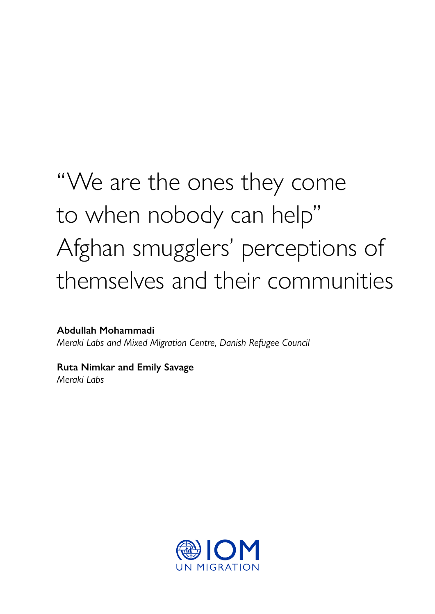# "We are the ones they come to when nobody can help" Afghan smugglers' perceptions of themselves and their communities

**Abdullah Mohammadi**  *Meraki Labs and Mixed Migration Centre, Danish Refugee Council* 

**Ruta Nimkar and Emily Savage**  *Meraki Labs*

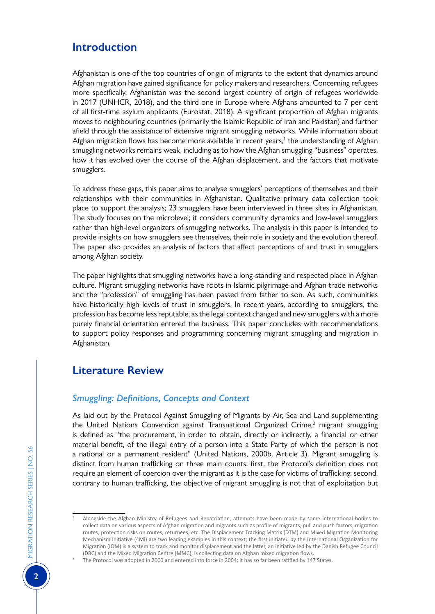# **Introduction**

Afghanistan is one of the top countries of origin of migrants to the extent that dynamics around Afghan migration have gained significance for policy makers and researchers. Concerning refugees more specifically, Afghanistan was the second largest country of origin of refugees worldwide in 2017 (UNHCR, 2018), and the third one in Europe where Afghans amounted to 7 per cent of all first-time asylum applicants (Eurostat, 2018). A significant proportion of Afghan migrants moves to neighbouring countries (primarily the Islamic Republic of Iran and Pakistan) and further afield through the assistance of extensive migrant smuggling networks. While information about Afghan migration flows has become more available in recent years,<sup>1</sup> the understanding of Afghan smuggling networks remains weak, including as to how the Afghan smuggling "business" operates, how it has evolved over the course of the Afghan displacement, and the factors that motivate smugglers.

To address these gaps, this paper aims to analyse smugglers' perceptions of themselves and their relationships with their communities in Afghanistan. Qualitative primary data collection took place to support the analysis; 23 smugglers have been interviewed in three sites in Afghanistan. The study focuses on the microlevel; it considers community dynamics and low-level smugglers rather than high-level organizers of smuggling networks. The analysis in this paper is intended to provide insights on how smugglers see themselves, their role in society and the evolution thereof. The paper also provides an analysis of factors that affect perceptions of and trust in smugglers among Afghan society.

The paper highlights that smuggling networks have a long-standing and respected place in Afghan culture. Migrant smuggling networks have roots in Islamic pilgrimage and Afghan trade networks and the "profession" of smuggling has been passed from father to son. As such, communities have historically high levels of trust in smugglers. In recent years, according to smugglers, the profession has become less reputable, as the legal context changed and new smugglers with a more purely financial orientation entered the business. This paper concludes with recommendations to support policy responses and programming concerning migrant smuggling and migration in Afghanistan.

# **Literature Review**

# *Smuggling: Definitions, Concepts and Context*

As laid out by the Protocol Against Smuggling of Migrants by Air, Sea and Land supplementing the United Nations Convention against Transnational Organized Crime, $2$  migrant smuggling is defined as "the procurement, in order to obtain, directly or indirectly, a financial or other material benefit, of the illegal entry of a person into a State Party of which the person is not a national or a permanent resident" (United Nations, 2000b, Article 3). Migrant smuggling is distinct from human trafficking on three main counts: first, the Protocol's definition does not require an element of coercion over the migrant as it is the case for victims of trafficking; second, contrary to human trafficking, the objective of migrant smuggling is not that of exploitation but

<sup>1</sup> Alongside the Afghan Ministry of Refugees and Repatriation, attempts have been made by some international bodies to collect data on various aspects of Afghan migration and migrants such as profile of migrants, pull and push factors, migration routes, protection risks on routes, returnees, etc. [The Displacement Tracking Matrix](https://www.globaldtm.info/afghanistan/) (DTM) and [Mixed Migration Monitoring](http://www.mixedmigration.org/regions/asia/) [Mechanism Initiative](http://www.mixedmigration.org/regions/asia/) (4Mi) are two leading examples in this context; the first initiated by the International Organization for Migration (IOM) is a system to track and monitor displacement and the latter, an initiative led by the Danish Refugee Council (DRC) and the Mixed Migration Centre (MMC), is collecting data on Afghan mixed migration flows.

<sup>2</sup> The Protocol was adopted in 2000 and entered into force in 2004; it has so far been ratified by 147 States.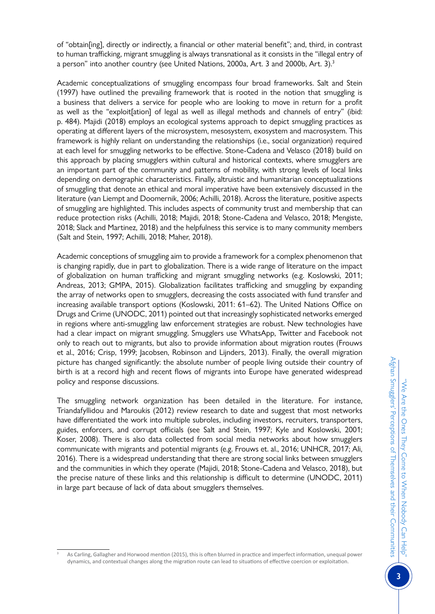of "obtain[ing], directly or indirectly, a financial or other material benefit"; and, third, in contrast to human trafficking, migrant smuggling is always transnational as it consists in the "illegal entry of a person" into another country (see United Nations, 2000a, Art. 3 and 2000b, Art. 3).<sup>3</sup>

Academic conceptualizations of smuggling encompass four broad frameworks. Salt and Stein (1997) have outlined the prevailing framework that is rooted in the notion that smuggling is a business that delivers a service for people who are looking to move in return for a profit as well as the "exploit[ation] of legal as well as illegal methods and channels of entry" (ibid: p. 484). Majidi (2018) employs an ecological systems approach to depict smuggling practices as operating at different layers of the microsystem, mesosystem, exosystem and macrosystem. This framework is highly reliant on understanding the relationships (i.e., social organization) required at each level for smuggling networks to be effective. Stone-Cadena and Velasco (2018) build on this approach by placing smugglers within cultural and historical contexts, where smugglers are an important part of the community and patterns of mobility, with strong levels of local links depending on demographic characteristics. Finally, altruistic and humanitarian conceptualizations of smuggling that denote an ethical and moral imperative have been extensively discussed in the literature (van Liempt and Doomernik, 2006; Achilli, 2018). Across the literature, positive aspects of smuggling are highlighted. This includes aspects of community trust and membership that can reduce protection risks (Achilli, 2018; Majidi, 2018; Stone-Cadena and Velasco, 2018; Mengiste, 2018; Slack and Martinez, 2018) and the helpfulness this service is to many community members (Salt and Stein, 1997; Achilli, 2018; Maher, 2018).

Academic conceptions of smuggling aim to provide a framework for a complex phenomenon that is changing rapidly, due in part to globalization. There is a wide range of literature on the impact of globalization on human trafficking and migrant smuggling networks (e.g. Koslowski, 2011; Andreas, 2013; GMPA, 2015). Globalization facilitates trafficking and smuggling by expanding the array of networks open to smugglers, decreasing the costs associated with fund transfer and increasing available transport options (Koslowski, 2011: 61–62). The United Nations Office on Drugs and Crime (UNODC, 2011) pointed out that increasingly sophisticated networks emerged in regions where anti-smuggling law enforcement strategies are robust. New technologies have had a clear impact on migrant smuggling. Smugglers use WhatsApp, Twitter and Facebook not only to reach out to migrants, but also to provide information about migration routes (Frouws et al., 2016; Crisp, 1999; Jacobsen, Robinson and Lijnders, 2013). Finally, the overall migration picture has changed significantly: the absolute number of people living outside their country of birth is at a record high and recent flows of migrants into Europe have generated widespread policy and response discussions.

The smuggling network organization has been detailed in the literature. For instance, Triandafyllidou and Maroukis (2012) review research to date and suggest that most networks have differentiated the work into multiple subroles, including investors, recruiters, transporters, guides, enforcers, and corrupt officials (see Salt and Stein, 1997; Kyle and Koslowski, 2001; Koser, 2008). There is also data collected from social media networks about how smugglers communicate with migrants and potential migrants (e.g. Frouws et. al., 2016; UNHCR, 2017; Ali, 2016). There is a widespread understanding that there are strong social links between smugglers and the communities in which they operate (Majidi, 2018; Stone-Cadena and Velasco, 2018), but the precise nature of these links and this relationship is difficult to determine (UNODC, 2011) in large part because of lack of data about smugglers themselves.

As Carling, Gallagher and Horwood mention (2015), this is often blurred in practice and imperfect information, unequal power dynamics, and contextual changes along the migration route can lead to situations of effective coercion or exploitation.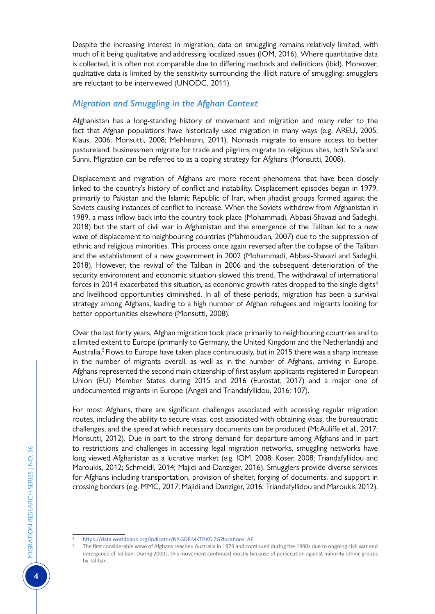Despite the increasing interest in migration, data on smuggling remains relatively limited, with much of it being qualitative and addressing localized issues (IOM, 2016). Where quantitative data is collected, it is often not comparable due to differing methods and definitions (ibid). Moreover, qualitative data is limited by the sensitivity surrounding the illicit nature of smuggling; smugglers are reluctant to be interviewed (UNODC, 2011).

## *Migration and Smuggling in the Afghan Context*

Afghanistan has a long-standing history of movement and migration and many refer to the fact that Afghan populations have historically used migration in many ways (e.g. AREU, 2005; Klaus, 2006; Monsutti, 2008; Mehlmann, 2011). Nomads migrate to ensure access to better pastureland, businessmen migrate for trade and pilgrims migrate to religious sites, both Shi'a and Sunni. Migration can be referred to as a coping strategy for Afghans (Monsutti, 2008).

Displacement and migration of Afghans are more recent phenomena that have been closely linked to the country's history of conflict and instability. Displacement episodes began in 1979, primarily to Pakistan and the Islamic Republic of Iran, when jihadist groups formed against the Soviets causing instances of conflict to increase. When the Soviets withdrew from Afghanistan in 1989, a mass inflow back into the country took place (Mohammadi, Abbasi-Shavazi and Sadeghi, 2018) but the start of civil war in Afghanistan and the emergence of the Taliban led to a new wave of displacement to neighbouring countries (Mahmoudian, 2007) due to the suppression of ethnic and religious minorities. This process once again reversed after the collapse of the Taliban and the establishment of a new government in 2002 (Mohammadi, Abbasi-Shavazi and Sadeghi, 2018). However, the revival of the Taliban in 2006 and the subsequent deterioration of the security environment and economic situation slowed this trend. The withdrawal of international forces in 2014 exacerbated this situation, as economic growth rates dropped to the single digits<sup>4</sup> and livelihood opportunities diminished. In all of these periods, migration has been a survival strategy among Afghans, leading to a high number of Afghan refugees and migrants looking for better opportunities elsewhere (Monsutti, 2008).

Over the last forty years, Afghan migration took place primarily to neighbouring countries and to a limited extent to Europe (primarily to Germany, the United Kingdom and the Netherlands) and Australia.<sup>5</sup> Flows to Europe have taken place continuously, but in 2015 there was a sharp increase in the number of migrants overall, as well as in the number of Afghans, arriving in Europe. Afghans represented the second main citizenship of first asylum applicants registered in European Union (EU) Member States during 2015 and 2016 (Eurostat, 2017) and a major one of undocumented migrants in Europe (Angeli and Triandafyllidou, 2016: 107).

For most Afghans, there are significant challenges associated with accessing regular migration routes, including the ability to secure visas, cost associated with obtaining visas, the bureaucratic challenges, and the speed at which necessary documents can be produced (McAuliffe et al., 2017; Monsutti, 2012). Due in part to the strong demand for departure among Afghans and in part to restrictions and challenges in accessing legal migration networks, smuggling networks have long viewed Afghanistan as a lucrative market (e.g. IOM, 2008; Koser, 2008; Triandafyllidou and Maroukis, 2012; Schmeidl, 2014; Majidi and Danziger, 2016). Smugglers provide diverse services for Afghans including transportation, provision of shelter, forging of documents, and support in crossing borders (e.g. MMC, 2017; Majidi and Danziger, 2016; Triandafyllidou and Maroukis 2012).

https://data.worldbank.org/indicator/NY.GDP.MKTP.KD.ZG?locations=AF<br>The first considerable wave of Afghans reached Australia in 1979 and continued during the 1990s due to ongoing civil war and emergence of Taliban. During 2000s, this movement continued mostly because of persecution against minority ethnic groups by Taliban.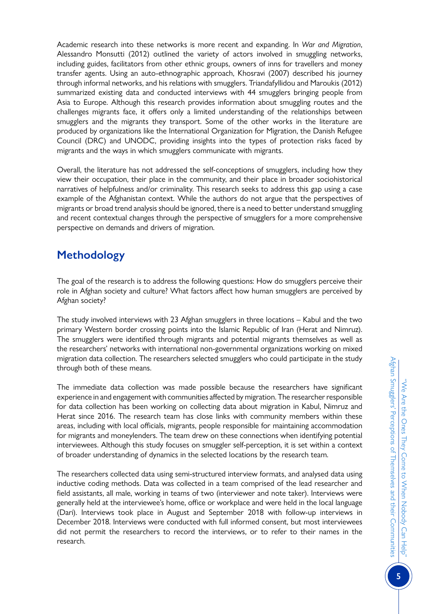Academic research into these networks is more recent and expanding. In *War and Migration*, Alessandro Monsutti (2012) outlined the variety of actors involved in smuggling networks, including guides, facilitators from other ethnic groups, owners of inns for travellers and money transfer agents. Using an auto-ethnographic approach, Khosravi (2007) described his journey through informal networks, and his relations with smugglers. Triandafyllidou and Maroukis (2012) summarized existing data and conducted interviews with 44 smugglers bringing people from Asia to Europe. Although this research provides information about smuggling routes and the challenges migrants face, it offers only a limited understanding of the relationships between smugglers and the migrants they transport. Some of the other works in the literature are produced by organizations like the International Organization for Migration, the Danish Refugee Council (DRC) and UNODC, providing insights into the types of protection risks faced by migrants and the ways in which smugglers communicate with migrants.

Overall, the literature has not addressed the self-conceptions of smugglers, including how they view their occupation, their place in the community, and their place in broader sociohistorical narratives of helpfulness and/or criminality. This research seeks to address this gap using a case example of the Afghanistan context. While the authors do not argue that the perspectives of migrants or broad trend analysis should be ignored, there is a need to better understand smuggling and recent contextual changes through the perspective of smugglers for a more comprehensive perspective on demands and drivers of migration.

# **Methodology**

The goal of the research is to address the following questions: How do smugglers perceive their role in Afghan society and culture? What factors affect how human smugglers are perceived by Afghan society?

The study involved interviews with 23 Afghan smugglers in three locations – Kabul and the two primary Western border crossing points into the Islamic Republic of Iran (Herat and Nimruz). The smugglers were identified through migrants and potential migrants themselves as well as the researchers' networks with international non-governmental organizations working on mixed migration data collection. The researchers selected smugglers who could participate in the study through both of these means.

The immediate data collection was made possible because the researchers have significant experience in and engagement with communities affected by migration. The researcher responsible for data collection has been working on collecting data about migration in Kabul, Nimruz and Herat since 2016. The research team has close links with community members within these areas, including with local officials, migrants, people responsible for maintaining accommodation for migrants and moneylenders. The team drew on these connections when identifying potential interviewees. Although this study focuses on smuggler self-perception, it is set within a context of broader understanding of dynamics in the selected locations by the research team.

The researchers collected data using semi-structured interview formats, and analysed data using inductive coding methods. Data was collected in a team comprised of the lead researcher and field assistants, all male, working in teams of two (interviewer and note taker). Interviews were generally held at the interviewee's home, office or workplace and were held in the local language (Dari). Interviews took place in August and September 2018 with follow-up interviews in December 2018. Interviews were conducted with full informed consent, but most interviewees did not permit the researchers to record the interviews, or to refer to their names in the research.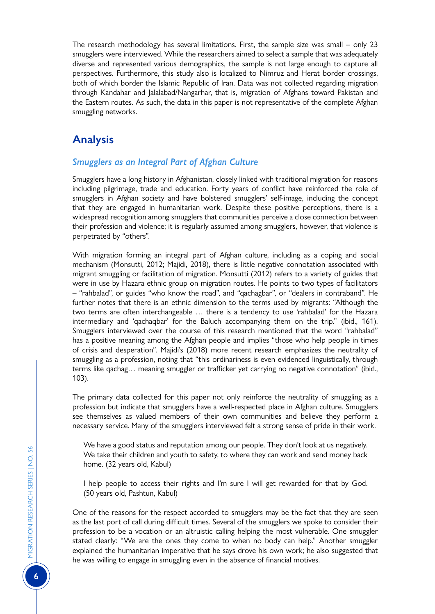The research methodology has several limitations. First, the sample size was small – only 23 smugglers were interviewed. While the researchers aimed to select a sample that was adequately diverse and represented various demographics, the sample is not large enough to capture all perspectives. Furthermore, this study also is localized to Nimruz and Herat border crossings, both of which border the Islamic Republic of Iran. Data was not collected regarding migration through Kandahar and Jalalabad/Nangarhar, that is, migration of Afghans toward Pakistan and the Eastern routes. As such, the data in this paper is not representative of the complete Afghan smuggling networks.

# **Analysis**

# *Smugglers as an Integral Part of Afghan Culture*

Smugglers have a long history in Afghanistan, closely linked with traditional migration for reasons including pilgrimage, trade and education. Forty years of conflict have reinforced the role of smugglers in Afghan society and have bolstered smugglers' self-image, including the concept that they are engaged in humanitarian work. Despite these positive perceptions, there is a widespread recognition among smugglers that communities perceive a close connection between their profession and violence; it is regularly assumed among smugglers, however, that violence is perpetrated by "others".

With migration forming an integral part of Afghan culture, including as a coping and social mechanism (Monsutti, 2012; Majidi, 2018), there is little negative connotation associated with migrant smuggling or facilitation of migration. Monsutti (2012) refers to a variety of guides that were in use by Hazara ethnic group on migration routes. He points to two types of facilitators – "rahbalad", or guides "who know the road", and "qachagbar", or "dealers in contraband". He further notes that there is an ethnic dimension to the terms used by migrants: "Although the two terms are often interchangeable … there is a tendency to use 'rahbalad' for the Hazara intermediary and 'qachaqbar' for the Baluch accompanying them on the trip." (ibid., 161). Smugglers interviewed over the course of this research mentioned that the word "rahbalad" has a positive meaning among the Afghan people and implies "those who help people in times of crisis and desperation". Majidi's (2018) more recent research emphasizes the neutrality of smuggling as a profession, noting that "this ordinariness is even evidenced linguistically, through terms like qachag… meaning smuggler or trafficker yet carrying no negative connotation" (ibid., 103).

The primary data collected for this paper not only reinforce the neutrality of smuggling as a profession but indicate that smugglers have a well-respected place in Afghan culture. Smugglers see themselves as valued members of their own communities and believe they perform a necessary service. Many of the smugglers interviewed felt a strong sense of pride in their work.

We have a good status and reputation among our people. They don't look at us negatively. We take their children and youth to safety, to where they can work and send money back home. (32 years old, Kabul)

I help people to access their rights and I'm sure I will get rewarded for that by God. (50 years old, Pashtun, Kabul)

One of the reasons for the respect accorded to smugglers may be the fact that they are seen as the last port of call during difficult times. Several of the smugglers we spoke to consider their profession to be a vocation or an altruistic calling helping the most vulnerable. One smuggler stated clearly: "We are the ones they come to when no body can help." Another smuggler explained the humanitarian imperative that he says drove his own work; he also suggested that he was willing to engage in smuggling even in the absence of financial motives.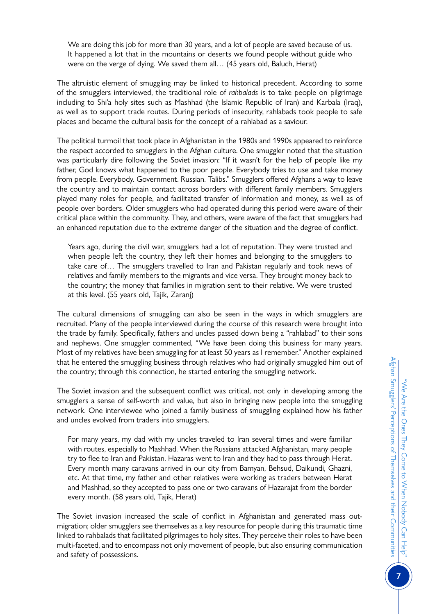We are doing this job for more than 30 years, and a lot of people are saved because of us. It happened a lot that in the mountains or deserts we found people without guide who were on the verge of dying. We saved them all… (45 years old, Baluch, Herat)

The altruistic element of smuggling may be linked to historical precedent. According to some of the smugglers interviewed, the traditional role of *rahbalads* is to take people on pilgrimage including to Shi'a holy sites such as Mashhad (the Islamic Republic of Iran) and Karbala (Iraq), as well as to support trade routes. During periods of insecurity, rahlabads took people to safe places and became the cultural basis for the concept of a rahlabad as a saviour.

The political turmoil that took place in Afghanistan in the 1980s and 1990s appeared to reinforce the respect accorded to smugglers in the Afghan culture. One smuggler noted that the situation was particularly dire following the Soviet invasion: "If it wasn't for the help of people like my father, God knows what happened to the poor people. Everybody tries to use and take money from people. Everybody. Government. Russian. Talibs." Smugglers offered Afghans a way to leave the country and to maintain contact across borders with different family members. Smugglers played many roles for people, and facilitated transfer of information and money, as well as of people over borders. Older smugglers who had operated during this period were aware of their critical place within the community. They, and others, were aware of the fact that smugglers had an enhanced reputation due to the extreme danger of the situation and the degree of conflict.

Years ago, during the civil war, smugglers had a lot of reputation. They were trusted and when people left the country, they left their homes and belonging to the smugglers to take care of… The smugglers travelled to Iran and Pakistan regularly and took news of relatives and family members to the migrants and vice versa. They brought money back to the country; the money that families in migration sent to their relative. We were trusted at this level. (55 years old, Tajik, Zaranj)

The cultural dimensions of smuggling can also be seen in the ways in which smugglers are recruited. Many of the people interviewed during the course of this research were brought into the trade by family. Specifically, fathers and uncles passed down being a "rahlabad" to their sons and nephews. One smuggler commented, "We have been doing this business for many years. Most of my relatives have been smuggling for at least 50 years as I remember." Another explained that he entered the smuggling business through relatives who had originally smuggled him out of the country; through this connection, he started entering the smuggling network.

The Soviet invasion and the subsequent conflict was critical, not only in developing among the smugglers a sense of self-worth and value, but also in bringing new people into the smuggling network. One interviewee who joined a family business of smuggling explained how his father and uncles evolved from traders into smugglers.

For many years, my dad with my uncles traveled to Iran several times and were familiar with routes, especially to Mashhad. When the Russians attacked Afghanistan, many people try to flee to Iran and Pakistan. Hazaras went to Iran and they had to pass through Herat. Every month many caravans arrived in our city from Bamyan, Behsud, Daikundi, Ghazni, etc. At that time, my father and other relatives were working as traders between Herat and Mashhad, so they accepted to pass one or two caravans of Hazarajat from the border every month. (58 years old, Tajik, Herat)

The Soviet invasion increased the scale of conflict in Afghanistan and generated mass outmigration; older smugglers see themselves as a key resource for people during this traumatic time linked to rahbalads that facilitated pilgrimages to holy sites. They perceive their roles to have been multi-faceted, and to encompass not only movement of people, but also ensuring communication and safety of possessions.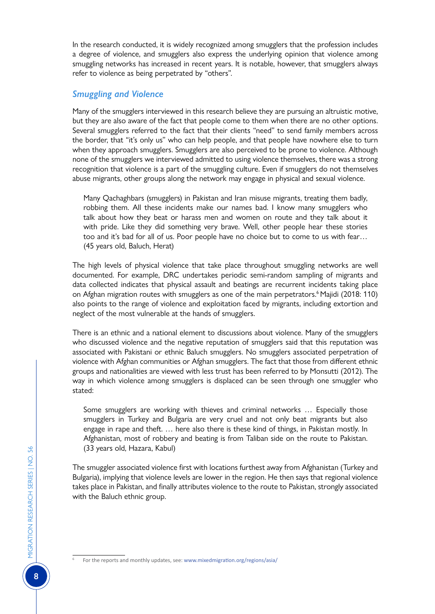In the research conducted, it is widely recognized among smugglers that the profession includes a degree of violence, and smugglers also express the underlying opinion that violence among smuggling networks has increased in recent years. It is notable, however, that smugglers always refer to violence as being perpetrated by "others".

## *Smuggling and Violence*

Many of the smugglers interviewed in this research believe they are pursuing an altruistic motive, but they are also aware of the fact that people come to them when there are no other options. Several smugglers referred to the fact that their clients "need" to send family members across the border, that "it's only us" who can help people, and that people have nowhere else to turn when they approach smugglers. Smugglers are also perceived to be prone to violence. Although none of the smugglers we interviewed admitted to using violence themselves, there was a strong recognition that violence is a part of the smuggling culture. Even if smugglers do not themselves abuse migrants, other groups along the network may engage in physical and sexual violence.

Many Qachaghbars (smugglers) in Pakistan and Iran misuse migrants, treating them badly, robbing them. All these incidents make our names bad. I know many smugglers who talk about how they beat or harass men and women on route and they talk about it with pride. Like they did something very brave. Well, other people hear these stories too and it's bad for all of us. Poor people have no choice but to come to us with fear… (45 years old, Baluch, Herat)

The high levels of physical violence that take place throughout smuggling networks are well documented. For example, DRC undertakes periodic semi-random sampling of migrants and data collected indicates that physical assault and beatings are recurrent incidents taking place on Afghan migration routes with smugglers as one of the main perpetrators.<sup>6</sup> Majidi (2018: 110) also points to the range of violence and exploitation faced by migrants, including extortion and neglect of the most vulnerable at the hands of smugglers.

There is an ethnic and a national element to discussions about violence. Many of the smugglers who discussed violence and the negative reputation of smugglers said that this reputation was associated with Pakistani or ethnic Baluch smugglers. No smugglers associated perpetration of violence with Afghan communities or Afghan smugglers. The fact that those from different ethnic groups and nationalities are viewed with less trust has been referred to by Monsutti (2012). The way in which violence among smugglers is displaced can be seen through one smuggler who stated:

Some smugglers are working with thieves and criminal networks … Especially those smugglers in Turkey and Bulgaria are very cruel and not only beat migrants but also engage in rape and theft. … here also there is these kind of things, in Pakistan mostly. In Afghanistan, most of robbery and beating is from Taliban side on the route to Pakistan. (33 years old, Hazara, Kabul)

The smuggler associated violence first with locations furthest away from Afghanistan (Turkey and Bulgaria), implying that violence levels are lower in the region. He then says that regional violence takes place in Pakistan, and finally attributes violence to the route to Pakistan, strongly associated with the Baluch ethnic group.

For the reports and monthly updates, see: www.mixedmigration.org/regions/asia/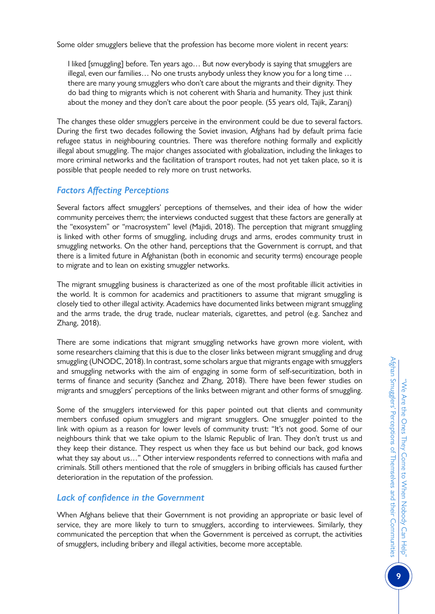Some older smugglers believe that the profession has become more violent in recent years:

I liked [smuggling] before. Ten years ago… But now everybody is saying that smugglers are illegal, even our families… No one trusts anybody unless they know you for a long time … there are many young smugglers who don't care about the migrants and their dignity. They do bad thing to migrants which is not coherent with Sharia and humanity. They just think about the money and they don't care about the poor people. (55 years old, Tajik, Zaranj)

The changes these older smugglers perceive in the environment could be due to several factors. During the first two decades following the Soviet invasion, Afghans had by default prima facie refugee status in neighbouring countries. There was therefore nothing formally and explicitly illegal about smuggling. The major changes associated with globalization, including the linkages to more criminal networks and the facilitation of transport routes, had not yet taken place, so it is possible that people needed to rely more on trust networks.

# *Factors Affecting Perceptions*

Several factors affect smugglers' perceptions of themselves, and their idea of how the wider community perceives them; the interviews conducted suggest that these factors are generally at the "exosystem" or "macrosystem" level (Majidi, 2018). The perception that migrant smuggling is linked with other forms of smuggling, including drugs and arms, erodes community trust in smuggling networks. On the other hand, perceptions that the Government is corrupt, and that there is a limited future in Afghanistan (both in economic and security terms) encourage people to migrate and to lean on existing smuggler networks.

The migrant smuggling business is characterized as one of the most profitable illicit activities in the world. It is common for academics and practitioners to assume that migrant smuggling is closely tied to other illegal activity. Academics have documented links between migrant smuggling and the arms trade, the drug trade, nuclear materials, cigarettes, and petrol (e.g. Sanchez and Zhang, 2018).

There are some indications that migrant smuggling networks have grown more violent, with some researchers claiming that this is due to the closer links between migrant smuggling and drug smuggling (UNODC, 2018). In contrast, some scholars argue that migrants engage with smugglers and smuggling networks with the aim of engaging in some form of self-securitization, both in terms of finance and security (Sanchez and Zhang, 2018). There have been fewer studies on migrants and smugglers' perceptions of the links between migrant and other forms of smuggling.

Some of the smugglers interviewed for this paper pointed out that clients and community members confused opium smugglers and migrant smugglers. One smuggler pointed to the link with opium as a reason for lower levels of community trust: "It's not good. Some of our neighbours think that we take opium to the Islamic Republic of Iran. They don't trust us and they keep their distance. They respect us when they face us but behind our back, god knows what they say about us…" Other interview respondents referred to connections with mafia and criminals. Still others mentioned that the role of smugglers in bribing officials has caused further deterioration in the reputation of the profession.

# *Lack of confidence in the Government*

When Afghans believe that their Government is not providing an appropriate or basic level of service, they are more likely to turn to smugglers, according to interviewees. Similarly, they communicated the perception that when the Government is perceived as corrupt, the activities of smugglers, including bribery and illegal activities, become more acceptable.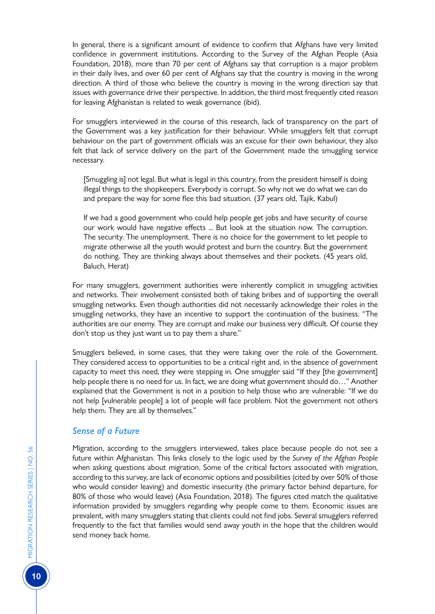In general, there is a significant amount of evidence to confirm that Afghans have very limited confidence in government institutions. According to the Survey of the Afghan People (Asia Foundation, 2018), more than 70 per cent of Afghans say that corruption is a major problem in their daily lives, and over 60 per cent of Afghans say that the country is moving in the wrong direction. A third of those who believe the country is moving in the wrong direction say that issues with governance drive their perspective. In addition, the third most frequently cited reason for leaving Afghanistan is related to weak governance (ibid).

For smugglers interviewed in the course of this research, lack of transparency on the part of the Government was a key justification for their behaviour. While smugglers felt that corrupt behaviour on the part of government officials was an excuse for their own behaviour, they also felt that lack of service delivery on the part of the Government made the smuggling service necessary.

[Smuggling is] not legal. But what is legal in this country, from the president himself is doing illegal things to the shopkeepers. Everybody is corrupt. So why not we do what we can do and prepare the way for some flee this bad situation. (37 years old, Tajik, Kabul)

If we had a good government who could help people get jobs and have security of course our work would have negative effects ... But look at the situation now. The corruption. The security. The unemployment. There is no choice for the government to let people to migrate otherwise all the youth would protest and burn the country. But the government do nothing. They are thinking always about themselves and their pockets. (45 years old, Baluch, Herat)

For many smugglers, government authorities were inherently complicit in smuggling activities and networks. Their involvement consisted both of taking bribes and of supporting the overall smuggling networks. Even though authorities did not necessarily acknowledge their roles in the smuggling networks, they have an incentive to support the continuation of the business. "The authorities are our enemy. They are corrupt and make our business very difficult. Of course they don't stop us they just want us to pay them a share."

Smugglers believed, in some cases, that they were taking over the role of the Government. They considered access to opportunities to be a critical right and, in the absence of government capacity to meet this need, they were stepping in. One smuggler said "If they [the government] help people there is no need for us. In fact, we are doing what government should do…" Another explained that the Government is not in a position to help those who are vulnerable: "If we do not help [vulnerable people] a lot of people will face problem. Not the government not others help them. They are all by themselves."

## *Sense of a Future*

Migration, according to the smugglers interviewed, takes place because people do not see a future within Afghanistan. This links closely to the logic used by the *Survey of the Afghan People*  when asking questions about migration. Some of the critical factors associated with migration, according to this survey, are lack of economic options and possibilities (cited by over 50% of those who would consider leaving) and domestic insecurity (the primary factor behind departure, for 80% of those who would leave) (Asia Foundation, 2018). The figures cited match the qualitative information provided by smugglers regarding why people come to them. Economic issues are prevalent, with many smugglers stating that clients could not find jobs. Several smugglers referred frequently to the fact that families would send away youth in the hope that the children would send money back home.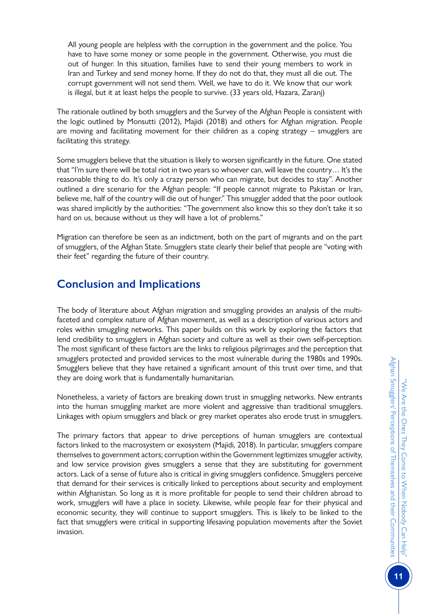All young people are helpless with the corruption in the government and the police. You have to have some money or some people in the government. Otherwise, you must die out of hunger. In this situation, families have to send their young members to work in Iran and Turkey and send money home. If they do not do that, they must all die out. The corrupt government will not send them. Well, we have to do it. We know that our work is illegal, but it at least helps the people to survive. (33 years old, Hazara, Zaranj)

The rationale outlined by both smugglers and the Survey of the Afghan People is consistent with the logic outlined by Monsutti (2012), Majidi (2018) and others for Afghan migration. People are moving and facilitating movement for their children as a coping strategy – smugglers are facilitating this strategy.

Some smugglers believe that the situation is likely to worsen significantly in the future. One stated that "I'm sure there will be total riot in two years so whoever can, will leave the country… It's the reasonable thing to do. It's only a crazy person who can migrate, but decides to stay". Another outlined a dire scenario for the Afghan people: "If people cannot migrate to Pakistan or Iran, believe me, half of the country will die out of hunger." This smuggler added that the poor outlook was shared implicitly by the authorities: "The government also know this so they don't take it so hard on us, because without us they will have a lot of problems."

Migration can therefore be seen as an indictment, both on the part of migrants and on the part of smugglers, of the Afghan State. Smugglers state clearly their belief that people are "voting with their feet" regarding the future of their country.

# **Conclusion and Implications**

The body of literature about Afghan migration and smuggling provides an analysis of the multifaceted and complex nature of Afghan movement, as well as a description of various actors and roles within smuggling networks. This paper builds on this work by exploring the factors that lend credibility to smugglers in Afghan society and culture as well as their own self-perception. The most significant of these factors are the links to religious pilgrimages and the perception that smugglers protected and provided services to the most vulnerable during the 1980s and 1990s. Smugglers believe that they have retained a significant amount of this trust over time, and that they are doing work that is fundamentally humanitarian.

Nonetheless, a variety of factors are breaking down trust in smuggling networks. New entrants into the human smuggling market are more violent and aggressive than traditional smugglers. Linkages with opium smugglers and black or grey market operates also erode trust in smugglers.

The primary factors that appear to drive perceptions of human smugglers are contextual factors linked to the macrosystem or exosystem (Majidi, 2018). In particular, smugglers compare themselves to government actors; corruption within the Government legitimizes smuggler activity, and low service provision gives smugglers a sense that they are substituting for government actors. Lack of a sense of future also is critical in giving smugglers confidence. Smugglers perceive that demand for their services is critically linked to perceptions about security and employment within Afghanistan. So long as it is more profitable for people to send their children abroad to work, smugglers will have a place in society. Likewise, while people fear for their physical and economic security, they will continue to support smugglers. This is likely to be linked to the fact that smugglers were critical in supporting lifesaving population movements after the Soviet invasion.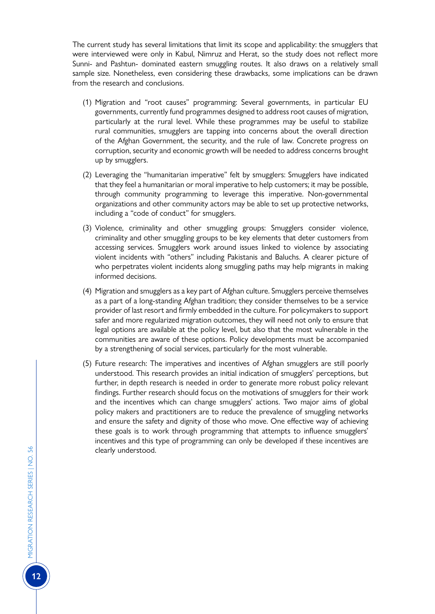The current study has several limitations that limit its scope and applicability: the smugglers that were interviewed were only in Kabul, Nimruz and Herat, so the study does not reflect more Sunni- and Pashtun- dominated eastern smuggling routes. It also draws on a relatively small sample size. Nonetheless, even considering these drawbacks, some implications can be drawn from the research and conclusions.

- (1) Migration and "root causes" programming: Several governments, in particular EU governments, currently fund programmes designed to address root causes of migration, particularly at the rural level. While these programmes may be useful to stabilize rural communities, smugglers are tapping into concerns about the overall direction of the Afghan Government, the security, and the rule of law. Concrete progress on corruption, security and economic growth will be needed to address concerns brought up by smugglers.
- (2) Leveraging the "humanitarian imperative" felt by smugglers: Smugglers have indicated that they feel a humanitarian or moral imperative to help customers; it may be possible, through community programming to leverage this imperative. Non-governmental organizations and other community actors may be able to set up protective networks, including a "code of conduct" for smugglers.
- (3) Violence, criminality and other smuggling groups: Smugglers consider violence, criminality and other smuggling groups to be key elements that deter customers from accessing services. Smugglers work around issues linked to violence by associating violent incidents with "others" including Pakistanis and Baluchs. A clearer picture of who perpetrates violent incidents along smuggling paths may help migrants in making informed decisions.
- (4) Migration and smugglers as a key part of Afghan culture. Smugglers perceive themselves as a part of a long-standing Afghan tradition; they consider themselves to be a service provider of last resort and firmly embedded in the culture. For policymakers to support safer and more regularized migration outcomes, they will need not only to ensure that legal options are available at the policy level, but also that the most vulnerable in the communities are aware of these options. Policy developments must be accompanied by a strengthening of social services, particularly for the most vulnerable.
- (5) Future research: The imperatives and incentives of Afghan smugglers are still poorly understood. This research provides an initial indication of smugglers' perceptions, but further, in depth research is needed in order to generate more robust policy relevant findings. Further research should focus on the motivations of smugglers for their work and the incentives which can change smugglers' actions. Two major aims of global policy makers and practitioners are to reduce the prevalence of smuggling networks and ensure the safety and dignity of those who move. One effective way of achieving these goals is to work through programming that attempts to influence smugglers' incentives and this type of programming can only be developed if these incentives are clearly understood.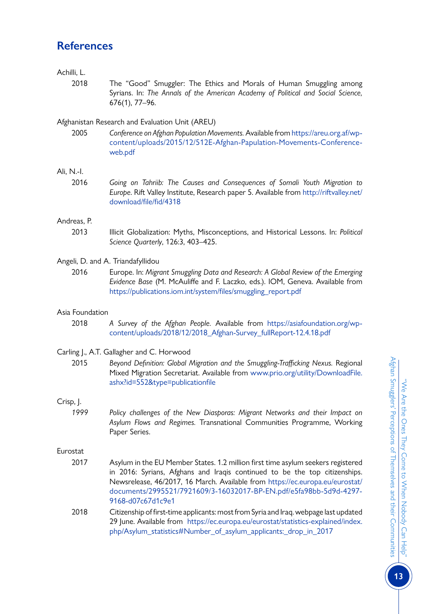# **References**

## Achilli, L.

2018 The "Good" Smuggler: The Ethics and Morals of Human Smuggling among Syrians. In: *The Annals of the American Academy of Political and Social Science,*  676(1), 77–96.

## Afghanistan Research and Evaluation Unit (AREU)

2005 *Conference on Afghan Population Movements.* Available from [https://areu.org.af/wp](https://areu.org.af/wp-content/uploads/2015/12/512E-Afghan-Papulation-Movements-Conference-web.pdf)[content/uploads/2015/12/512E-Afghan-Papulation-Movements-Conference](https://areu.org.af/wp-content/uploads/2015/12/512E-Afghan-Papulation-Movements-Conference-web.pdf)[web.pdf](https://areu.org.af/wp-content/uploads/2015/12/512E-Afghan-Papulation-Movements-Conference-web.pdf)

## Ali, N.-I.

2016 *Going on Tahriib: The Causes and Consequences of Somali Youth Migration to Europe*. Rift Valley Institute, Research paper 5. Available from [http://riftvalley.net/](http://riftvalley.net/download/file/fid/4318) [download/file/fid/4318](http://riftvalley.net/download/file/fid/4318)

## Andreas, P.

2013 Illicit Globalization: Myths, Misconceptions, and Historical Lessons. In: *Political Science Quarterly*, 126:3, 403–425.

## Angeli, D. and A. Triandafyllidou

2016 Europe. In: *Migrant Smuggling Data and Research: A Global Review of the Emerging Evidence Base* (M. McAuliffe and F. Laczko, eds.). IOM, Geneva. Available from [https://publications.iom.int/system/files/smuggling\\_report.pdf](https://publications.iom.int/system/files/smuggling_report.pdf)

## Asia Foundation

2018 *A Survey of the Afghan People.* Available from [https://asiafoundation.org/wp](https://asiafoundation.org/wp-content/uploads/2018/12/2018_Afghan-Survey_fullReport-12.4.18.pdf)[content/uploads/2018/12/2018\\_Afghan-Survey\\_fullReport-12.4.18.pdf](https://asiafoundation.org/wp-content/uploads/2018/12/2018_Afghan-Survey_fullReport-12.4.18.pdf)

## Carling J., A.T. Gallagher and C. Horwood

2015 Beyond Definition: Global Migration and the Smuggling-Trafficking Nexus. Regional Mixed Migration Secretariat. Available from [www.prio.org/utility/DownloadFile.](https://www.prio.org/utility/DownloadFile.ashx?id=552&type=publicationfile) [ashx?id=552&type=publicationfile](https://www.prio.org/utility/DownloadFile.ashx?id=552&type=publicationfile)

## Crisp, J.

*1999 Policy challenges of the New Diasporas: Migrant Networks and their Impact on Asylum Flows and Regimes.* Transnational Communities Programme, Working Paper Series.

## Eurostat

- 2017 Asylum in the EU Member States. 1.2 million first time asylum seekers registered in 2016: Syrians, Afghans and Iraqis continued to be the top citizenships. Newsrelease, 46/2017, 16 March. Available from [https://ec.europa.eu/eurostat/](https://ec.europa.eu/eurostat/documents/2995521/7921609/3-16032017-BP-EN.pdf/e5fa98bb-5d9d-4297-9168-d07c67d1c9e1) [documents/2995521/7921609/3-16032017-BP-EN.pdf/e5fa98bb-5d9d-4297-](https://ec.europa.eu/eurostat/documents/2995521/7921609/3-16032017-BP-EN.pdf/e5fa98bb-5d9d-4297-9168-d07c67d1c9e1) [9168-d07c67d1c9e1](https://ec.europa.eu/eurostat/documents/2995521/7921609/3-16032017-BP-EN.pdf/e5fa98bb-5d9d-4297-9168-d07c67d1c9e1)
- 2018 Citizenship of first-time applicants: most from Syria and Iraq. webpage last updated 29 June. Available from [https://ec.europa.eu/eurostat/statistics-explained/index.](https://ec.europa.eu/eurostat/statistics-explained/index.php/Asylum_statistics#Number_of_asylum_applicants:_drop_in_2017) [php/Asylum\\_statistics#Number\\_of\\_asylum\\_applicants:\\_drop\\_in\\_2017](https://ec.europa.eu/eurostat/statistics-explained/index.php/Asylum_statistics#Number_of_asylum_applicants:_drop_in_2017)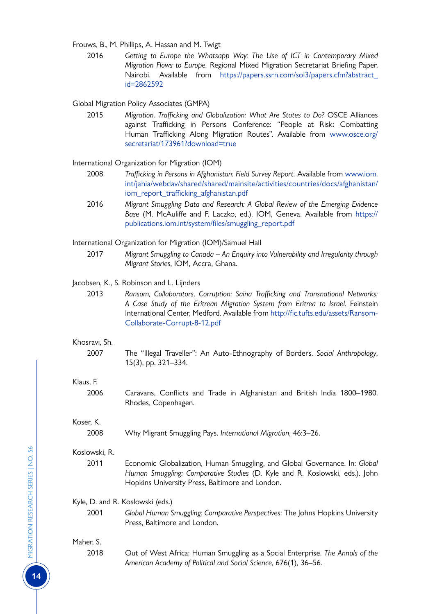Frouws, B., M. Phillips, A. Hassan and M. Twigt

2016 *Getting to Europe the Whatsapp Way: The Use of ICT in Contemporary Mixed Migration Flows to Europe.* Regional Mixed Migration Secretariat Briefing Paper, Nairobi. Available from [https://papers.ssrn.com/sol3/papers.cfm?abstract\\_](https://papers.ssrn.com/sol3/papers.cfm?abstract_id=2862592) [id=2862592](https://papers.ssrn.com/sol3/papers.cfm?abstract_id=2862592)

Global Migration Policy Associates (GMPA)

2015 *Migration, Trafficking and Globalization: What Are States to Do?* OSCE Alliances against Trafficking in Persons Conference: "People at Risk: Combatting Human Trafficking Along Migration Routes". Available from [www.osce.org/](https://www.osce.org/secretariat/173961?download=true) [secretariat/173961?download=true](https://www.osce.org/secretariat/173961?download=true)

International Organization for Migration (IOM)

- 2008 *Trafficking in Persons in Afghanistan: Field Survey Report.* Available from [www.iom.](https://www.iom.int/jahia/webdav/shared/shared/mainsite/activities/countries/docs/afghanistan/iom_report_trafficking_afghanistan.pdf) [int/jahia/webdav/shared/shared/mainsite/activities/countries/docs/afghanistan/](https://www.iom.int/jahia/webdav/shared/shared/mainsite/activities/countries/docs/afghanistan/iom_report_trafficking_afghanistan.pdf) [iom\\_report\\_trafficking\\_afghanistan.pdf](https://www.iom.int/jahia/webdav/shared/shared/mainsite/activities/countries/docs/afghanistan/iom_report_trafficking_afghanistan.pdf)
- 2016 *Migrant Smuggling Data and Research: A Global Review of the Emerging Evidence Base* (M. McAuliffe and F. Laczko, ed.). IOM, Geneva. Available from [https://](https://publications.iom.int/system/files/smuggling_report.pdf) [publications.iom.int/system/files/smuggling\\_report.pdf](https://publications.iom.int/system/files/smuggling_report.pdf)

International Organization for Migration (IOM)/Samuel Hall

2017 *Migrant Smuggling to Canada – An Enquiry into Vulnerability and Irregularity through Migrant Stories*, IOM, Accra, Ghana.

Jacobsen, K., S. Robinson and L. Lijnders

2013 *Ransom, Collaborators, Corruption: Saina Trafficking and Transnational Networks: A Case Study of the Eritrean Migration System from Eritrea to Israel.* Feinstein International Center, Medford. Available from [http://fic.tufts.edu/assets/Ransom-](http://fic.tufts.edu/assets/Ransom-Collaborate-Corrupt-8-12.pdf)[Collaborate-Corrupt-8-12.pdf](http://fic.tufts.edu/assets/Ransom-Collaborate-Corrupt-8-12.pdf)

#### Khosravi, Sh.

2007 The "Illegal Traveller": An Auto-Ethnography of Borders. *Social Anthropology*, 15(3), pp. 321–334.

#### Klaus, F.

2006 Caravans, Conflicts and Trade in Afghanistan and British India 1800–1980. Rhodes, Copenhagen.

Koser, K.

2008 Why Migrant Smuggling Pays. *International Migration*, 46:3–26.

#### Koslowski, R.

2011 Economic Globalization, Human Smuggling, and Global Governance. In: *Global Human Smuggling: Comparative Studies* (D. Kyle and R. Koslowski, eds.). John Hopkins University Press, Baltimore and London.

Kyle, D. and R. Koslowski (eds.)

2001 *Global Human Smuggling: Comparative Perspectives*: The Johns Hopkins University Press, Baltimore and London.

#### Maher, S.

2018 Out of West Africa: Human Smuggling as a Social Enterprise. *The Annals of the American Academy of Political and Social Science*, 676(1), 36–56.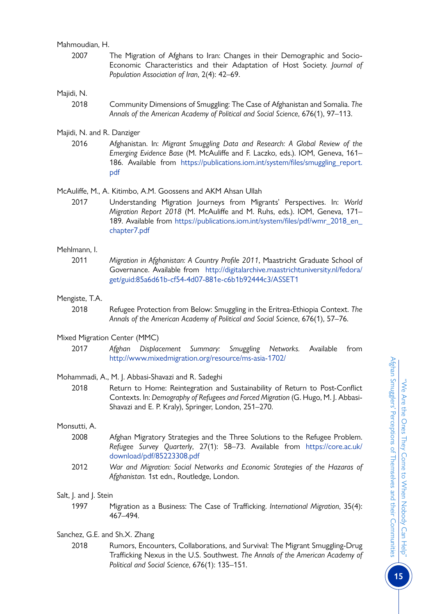Mahmoudian, H.

2007 The Migration of Afghans to Iran: Changes in their Demographic and Socio-Economic Characteristics and their Adaptation of Host Society. *Journal of Population Association of Iran*, 2(4): 42–69.

#### Majidi, N.

- 2018 Community Dimensions of Smuggling: The Case of Afghanistan and Somalia. *The Annals of the American Academy of Political and Social Science*, 676(1), 97–113.
- Majidi, N. and R. Danziger
	- 2016 Afghanistan. In: *Migrant Smuggling Data and Research: A Global Review of the Emerging Evidence Base* (M. McAuliffe and F. Laczko, eds.). IOM, Geneva, 161– 186. Available from [https://publications.iom.int/system/files/smuggling\\_report.](https://publications.iom.int/system/files/smuggling_report.pdf) [pdf](https://publications.iom.int/system/files/smuggling_report.pdf)

#### McAuliffe, M., A. Kitimbo, A.M. Goossens and AKM Ahsan Ullah

2017 Understanding Migration Journeys from Migrants' Perspectives. In: *World Migration Report 2018* (M. McAuliffe and M. Ruhs, eds.). IOM, Geneva, 171– 189. Available from [https://publications.iom.int/system/files/pdf/wmr\\_2018\\_en\\_](https://publications.iom.int/system/files/pdf/wmr_2018_en_chapter7.pdf) [chapter7.pdf](https://publications.iom.int/system/files/pdf/wmr_2018_en_chapter7.pdf)

#### Mehlmann, I.

2011 *Migration in Afghanistan: A Country Profile 2011*, Maastricht Graduate School of Governance. Available from [http://digitalarchive.maastrichtuniversity.nl/fedora/](http://digitalarchive.maastrichtuniversity.nl/fedora/get/guid:85a6d61b-cf54-4d07-881e-c6b1b92444c3/ASSET1) [get/guid:85a6d61b-cf54-4d07-881e-c6b1b92444c3/ASSET1](http://digitalarchive.maastrichtuniversity.nl/fedora/get/guid:85a6d61b-cf54-4d07-881e-c6b1b92444c3/ASSET1)

#### Mengiste, T.A.

2018 Refugee Protection from Below: Smuggling in the Eritrea-Ethiopia Context. *The Annals of the American Academy of Political and Social Science*, 676(1), 57–76.

#### Mixed Migration Center (MMC)

2017 *Afghan Displacement Summary: Smuggling Networks.* Available from <http://www.mixedmigration.org/resource/ms-asia-1702/>

#### Mohammadi, A., M. J. Abbasi-Shavazi and R. Sadeghi

2018 Return to Home: Reintegration and Sustainability of Return to Post-Conflict Contexts. In: *Demography of Refugees and Forced Migration* (G. Hugo, M. J. Abbasi-Shavazi and E. P. Kraly), Springer, London, 251–270.

#### Monsutti, A.

- 2008 Afghan Migratory Strategies and the Three Solutions to the Refugee Problem. *Refugee Survey Quarterly*, 27(1): 58–73. Available from [https://core.ac.uk/](https://core.ac.uk/download/pdf/85223308.pdf) [download/pdf/85223308.pdf](https://core.ac.uk/download/pdf/85223308.pdf)
- 2012 *War and Migration: Social Networks and Economic Strategies of the Hazaras of Afghanistan.* 1st edn., Routledge, London.

#### Salt, J. and J. Stein

1997 Migration as a Business: The Case of Trafficking. *International Migration*, 35(4): 467–494.

#### Sanchez, G.E. and Sh.X. Zhang

2018 Rumors, Encounters, Collaborations, and Survival: The Migrant Smuggling-Drug Trafficking Nexus in the U.S. Southwest. *The Annals of the American Academy of Political and Social Science*, 676(1): 135–151.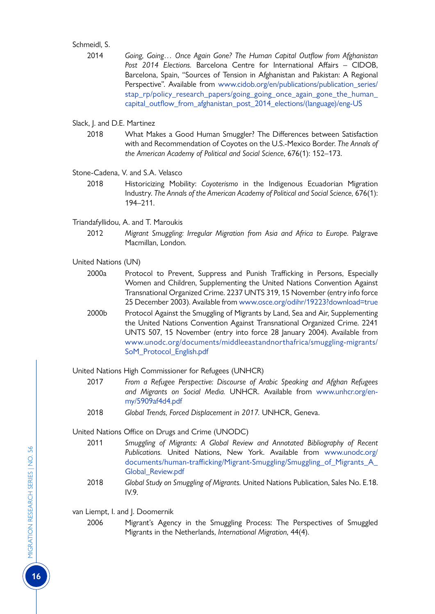#### Schmeidl, S.

- 2014 *Going, Going… Once Again Gone? The Human Capital Outflow from Afghanistan Post 2014 Elections.* Barcelona Centre for International Affairs – CIDOB, Barcelona, Spain, "Sources of Tension in Afghanistan and Pakistan: A Regional Perspective". Available from [www.cidob.org/en/publications/publication\\_series/](https://www.cidob.org/en/publications/publication_series/stap_rp/policy_research_papers/going_going_once_again_gone_the_human_capital_outflow_from_afghanistan_post_2014_elections/(language)/eng-US) [stap\\_rp/policy\\_research\\_papers/going\\_going\\_once\\_again\\_gone\\_the\\_human\\_](https://www.cidob.org/en/publications/publication_series/stap_rp/policy_research_papers/going_going_once_again_gone_the_human_capital_outflow_from_afghanistan_post_2014_elections/(language)/eng-US) [capital\\_outflow\\_from\\_afghanistan\\_post\\_2014\\_elections/\(language\)/eng-US](https://www.cidob.org/en/publications/publication_series/stap_rp/policy_research_papers/going_going_once_again_gone_the_human_capital_outflow_from_afghanistan_post_2014_elections/(language)/eng-US)
- Slack, J. and D.E. Martinez
	- 2018 What Makes a Good Human Smuggler? The Differences between Satisfaction with and Recommendation of Coyotes on the U.S.-Mexico Border. *The Annals of the American Academy of Political and Social Science*, 676(1): 152–173.
- Stone-Cadena, V. and S.A. Velasco
	- 2018 Historicizing Mobility: *Coyoterismo* in the Indigenous Ecuadorian Migration Industry. *The Annals of the American Academy of Political and Social Science,* 676(1): 194–211.
- Triandafyllidou, A. and T. Maroukis
	- 2012 *Migrant Smuggling: Irregular Migration from Asia and Africa to Europe.* Palgrave Macmillan, London.
- United Nations (UN)
	- 2000a Protocol to Prevent, Suppress and Punish Trafficking in Persons, Especially Women and Children, Supplementing the United Nations Convention Against Transnational Organized Crime. 2237 UNTS 319, 15 November (entry info force 25 December 2003). Available from [www.osce.org/odihr/19223?download=true](https://www.osce.org/odihr/19223?download=true)
	- 2000b Protocol Against the Smuggling of Migrants by Land, Sea and Air, Supplementing the United Nations Convention Against Transnational Organized Crime. 2241 UNTS 507, 15 November (entry into force 28 January 2004). Available from [www.unodc.org/documents/middleeastandnorthafrica/smuggling-migrants/](https://www.unodc.org/documents/middleeastandnorthafrica/smuggling-migrants/SoM_Protocol_English.pdf) [SoM\\_Protocol\\_English.pdf](https://www.unodc.org/documents/middleeastandnorthafrica/smuggling-migrants/SoM_Protocol_English.pdf)

United Nations High Commissioner for Refugees (UNHCR)

- 2017 *From a Refugee Perspective: Discourse of Arabic Speaking and Afghan Refugees and Migrants on Social Media.* UNHCR. Available from [www.unhcr.org/en](https://www.unhcr.org/en-my/5909af4d4.pdf)[my/5909af4d4.pdf](https://www.unhcr.org/en-my/5909af4d4.pdf)
- 2018 *Global Trends, Forced Displacement in 2017.* UNHCR, Geneva.

United Nations Office on Drugs and Crime (UNODC)

- 2011 *Smuggling of Migrants: A Global Review and Annotated Bibliography of Recent Publications.* United Nations, New York. Available from [www.unodc.org/](https://www.unodc.org/documents/human-trafficking/Migrant-Smuggling/Smuggling_of_Migrants_A_Global_Review.pdf) [documents/human-trafficking/Migrant-Smuggling/Smuggling\\_of\\_Migrants\\_A\\_](https://www.unodc.org/documents/human-trafficking/Migrant-Smuggling/Smuggling_of_Migrants_A_Global_Review.pdf) [Global\\_Review.pdf](https://www.unodc.org/documents/human-trafficking/Migrant-Smuggling/Smuggling_of_Migrants_A_Global_Review.pdf)
- 2018 *Global Study on Smuggling of Migrants.* United Nations Publication, Sales No. E.18. IV.9.

van Liempt, I. and J. Doomernik

2006 Migrant's Agency in the Smuggling Process: The Perspectives of Smuggled Migrants in the Netherlands, *International Migration*, 44(4).